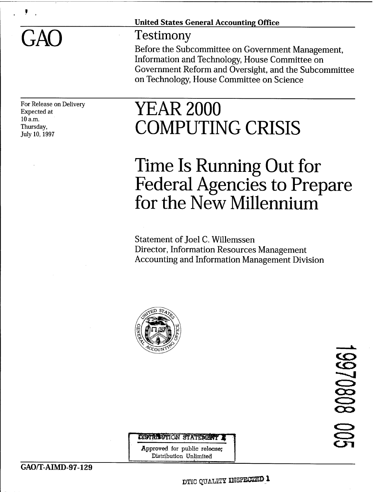#### United States General Accounting Office

#### Testimony

Before the Subcommittee on Government Management, Information and Technology, House Committee on Government Reform and Oversight, and the Subcommittee on Technology, House Committee on Science

For Release on Delivery Expected at 10 a.m. Thursday, July 10,1997

# YEAR 2000 COMPUTING CRISIS

## Time Is Running Out for Federal Agencies to Prepare for the New Millennium

Statement of Joel C. Willemssen Director, Information Resources Management Accounting and Information Management Division



80802661 **en**

DISTRIBUTION STATEMENT.

**Approved** for public **release;** Distribution Unlimited

DITC QUALITY **IMSPECIED** 1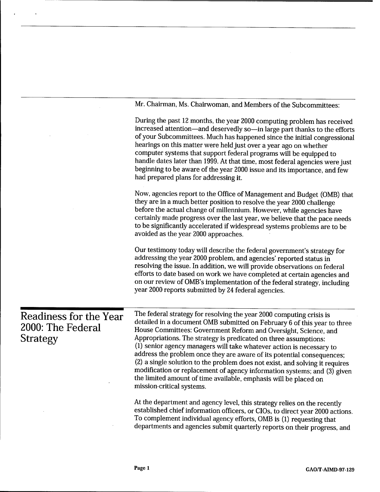|                                                                | Mr. Chairman, Ms. Chairwoman, and Members of the Subcommittees:                                                                                                                                                                                                                                                                                                                                                                                                                                                                                                                                                                                                                                        |  |  |
|----------------------------------------------------------------|--------------------------------------------------------------------------------------------------------------------------------------------------------------------------------------------------------------------------------------------------------------------------------------------------------------------------------------------------------------------------------------------------------------------------------------------------------------------------------------------------------------------------------------------------------------------------------------------------------------------------------------------------------------------------------------------------------|--|--|
|                                                                | During the past 12 months, the year 2000 computing problem has received<br>increased attention-and deservedly so-in large part thanks to the efforts<br>of your Subcommittees. Much has happened since the initial congressional<br>hearings on this matter were held just over a year ago on whether<br>computer systems that support federal programs will be equipped to<br>handle dates later than 1999. At that time, most federal agencies were just<br>beginning to be aware of the year 2000 issue and its importance, and few<br>had prepared plans for addressing it.                                                                                                                        |  |  |
|                                                                | Now, agencies report to the Office of Management and Budget (OMB) that<br>they are in a much better position to resolve the year 2000 challenge<br>before the actual change of millennium. However, while agencies have<br>certainly made progress over the last year, we believe that the pace needs<br>to be significantly accelerated if widespread systems problems are to be<br>avoided as the year 2000 approaches.                                                                                                                                                                                                                                                                              |  |  |
|                                                                | Our testimony today will describe the federal government's strategy for<br>addressing the year 2000 problem, and agencies' reported status in<br>resolving the issue. In addition, we will provide observations on federal<br>efforts to date based on work we have completed at certain agencies and<br>on our review of OMB's implementation of the federal strategy, including<br>year 2000 reports submitted by 24 federal agencies.                                                                                                                                                                                                                                                               |  |  |
| Readiness for the Year<br>2000: The Federal<br><b>Strategy</b> | The federal strategy for resolving the year 2000 computing crisis is<br>detailed in a document OMB submitted on February 6 of this year to three<br>House Committees: Government Reform and Oversight, Science, and<br>Appropriations. The strategy is predicated on three assumptions:<br>(1) senior agency managers will take whatever action is necessary to<br>address the problem once they are aware of its potential consequences;<br>(2) a single solution to the problem does not exist, and solving it requires<br>modification or replacement of agency information systems; and (3) given<br>the limited amount of time available, emphasis will be placed on<br>mission-critical systems. |  |  |
|                                                                | At the department and agency level, this strategy relies on the recently<br>established chief information officers, or CIOs, to direct year 2000 actions.<br>To complement individual agency efforts, OMB is (1) requesting that<br>departments and agencies submit quarterly reports on their progress, and                                                                                                                                                                                                                                                                                                                                                                                           |  |  |

 $\sim$   $\sim$ 

 $\cdot$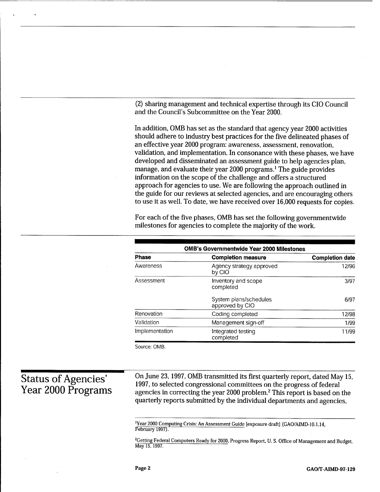(2) sharing management and technical expertise through its CIO Council and the Council's Subcommittee on the Year 2000.

In addition, OMB has set as the standard that agency year 2000 activities should adhere to industry best practices for the five delineated phases of an effective year 2000 program: awareness, assessment, renovation, validation, and implementation. In consonance with these phases, we have developed and disseminated an assessment guide to help agencies plan, manage, and evaluate their year 2000 programs.<sup>1</sup> The guide provides information on the scope of the challenge and offers a structured approach for agencies to use. We are following the approach outlined in the guide for our reviews at selected agencies, and are encouraging others to use it as well. To date, we have received over 16,000 requests for copies.

For each of the five phases, OMB has set the following governmentwide milestones for agencies to complete the majority of the work.

| <b>OMB's Governmentwide Year 2000 Milestones</b> |                                           |                        |  |  |  |
|--------------------------------------------------|-------------------------------------------|------------------------|--|--|--|
| Phase                                            | <b>Completion measure</b>                 | <b>Completion date</b> |  |  |  |
| Awareness                                        | Agency strategy approved<br>by CIO        | 12/96                  |  |  |  |
| Assessment                                       | Inventory and scope<br>completed          | 3/97                   |  |  |  |
|                                                  | System plans/schedules<br>approved by CIO | 6/97                   |  |  |  |
| Renovation                                       | Coding completed                          | 12/98                  |  |  |  |
| Validation                                       | Management sign-off                       | 1/99                   |  |  |  |
| Implementation                                   | Integrated testing<br>completed           | 11/99                  |  |  |  |

Source: OMB.

#### Status of Agencies' Year 2000 Programs

On June 23, 1997, OMB transmitted its first quarterly report, dated May 15, 1997, to selected congressional committees on the progress of federal agencies in correcting the year 2000 problem.<sup>2</sup> This report is based on the quarterly reports submitted by the individual departments and agencies,

'Year 2000 Computing Crisis: An Assessment Guide [exposure draft] (GAO/AIMD-10.1.14, February 1997).

<sup>2</sup>Getting Federal Computers Ready for 2000, Progress Report, U. S. Office of Management and Budget, May 15, 1997.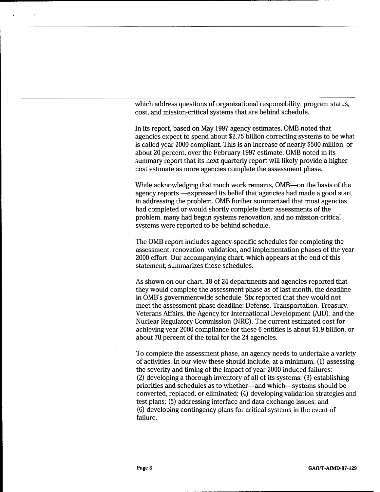which address questions of organizational responsibility, program status, cost, and mission-critical systems that are behind schedule.

In its report, based on May 1997 agency estimates, OMB noted that agencies expect to spend about \$2.75 billion correcting systems to be what is called year 2000 compliant. This is an increase of nearly \$500 million, or about 20 percent, over the February 1997 estimate. OMB noted in its summary report that its next quarterly report will likely provide a higher cost estimate as more agencies complete the assessment phase.

While acknowledging that much work remains, OMB—on the basis of the agency reports —expressed its belief that agencies had made a good start in addressing the problem. OMB further summarized that most agencies had completed or would shortly complete their assessments of the problem, many had begun systems renovation, and no mission-critical systems were reported to be behind schedule.

The OMB report includes agency-specific schedules for completing the assessment, renovation, validation, and implementation phases of the year 2000 effort. Our accompanying chart, which appears at the end of this statement, summarizes those schedules.

As shown on our chart, 18 of 24 departments and agencies reported that they would complete the assessment phase as of last month, the deadline in OMB's governmentwide schedule. Six reported that they would not meet the assessment phase deadline: Defense, Transportation, Treasury, Veterans Affairs, the Agency for International Development (AID), and the Nuclear Regulatory Commission (NRC). The current estimated cost for achieving year 2000 compliance for these 6 entities is about \$1.9 billion, or about 70 percent of the total for the 24 agencies.

To complete the assessment phase, an agency needs to undertake a variety of activities. In our view these should include, at a minimum, (1) assessing the severity and timing of the impact of year 2000-induced failures; (2) developing a thorough inventory of all of its systems; (3) establishing priorities and schedules as to whether—and which—systems should be converted, replaced, or eliminated; (4) developing validation strategies and test plans; (5) addressing interface and data exchange issues; and (6) developing contingency plans for critical systems in the event of failure.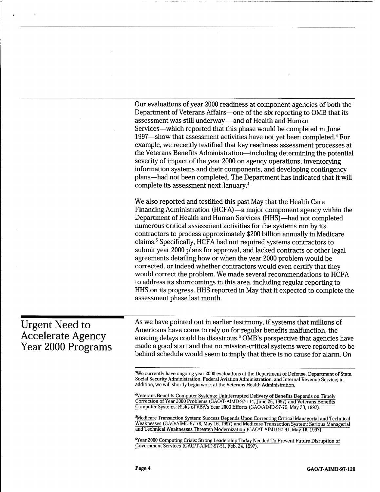|                                                                         | Our evaluations of year 2000 readiness at component agencies of both the<br>Department of Veterans Affairs—one of the six reporting to OMB that its<br>assessment was still underway -and of Health and Human<br>Services—which reported that this phase would be completed in June<br>1997—show that assessment activities have not yet been completed. <sup>3</sup> For<br>example, we recently testified that key readiness assessment processes at<br>the Veterans Benefits Administration—including determining the potential<br>severity of impact of the year 2000 on agency operations, inventorying<br>information systems and their components, and developing contingency<br>plans—had not been completed. The Department has indicated that it will<br>complete its assessment next January. <sup>4</sup>                                                                                                                  |
|-------------------------------------------------------------------------|----------------------------------------------------------------------------------------------------------------------------------------------------------------------------------------------------------------------------------------------------------------------------------------------------------------------------------------------------------------------------------------------------------------------------------------------------------------------------------------------------------------------------------------------------------------------------------------------------------------------------------------------------------------------------------------------------------------------------------------------------------------------------------------------------------------------------------------------------------------------------------------------------------------------------------------|
|                                                                         | We also reported and testified this past May that the Health Care<br>Financing Administration (HCFA)—a major component agency within the<br>Department of Health and Human Services (HHS)—had not completed<br>numerous critical assessment activities for the systems run by its<br>contractors to process approximately \$200 billion annually in Medicare<br>claims. <sup>5</sup> Specifically, HCFA had not required systems contractors to<br>submit year 2000 plans for approval, and lacked contracts or other legal<br>agreements detailing how or when the year 2000 problem would be<br>corrected, or indeed whether contractors would even certify that they<br>would correct the problem. We made several recommendations to HCFA<br>to address its shortcomings in this area, including regular reporting to<br>HHS on its progress. HHS reported in May that it expected to complete the<br>assessment phase last month. |
| <b>Urgent Need to</b><br><b>Accelerate Agency</b><br>Year 2000 Programs | As we have pointed out in earlier testimony, if systems that millions of<br>Americans have come to rely on for regular benefits malfunction, the<br>ensuing delays could be disastrous. <sup>6</sup> OMB's perspective that agencies have<br>made a good start and that no mission-critical systems were reported to be<br>behind schedule would seem to imply that there is no cause for alarm. On                                                                                                                                                                                                                                                                                                                                                                                                                                                                                                                                    |
|                                                                         | <sup>3</sup> We currently have ongoing year 2000 evaluations at the Department of Defense, Department of State,<br>Social Security Administration, Federal Aviation Administration, and Internal Revenue Service; in<br>addition, we will shortly begin work at the Veterans Health Administration.<br><sup>4</sup> Veterans Benefits Computer Systems: Uninterrupted Delivery of Benefits Depends on Timely<br>Correction of Year 2000 Problems (GAO/T-AIMD-97-114, June 26, 1997) and Veterans Benefits<br>Computer Systems: Risks of VBA's Year 2000 Efforts (GAO/AIMD-97-79, May 30, 1997).<br><sup>5</sup> Medicare Transaction System: Success Depends Upon Correcting Critical Managerial and Technical<br>Weaknesses (GAO/AIMD-97-78, May 16, 1997) and Medicare Transaction System: Serious Managerial<br>and Technical Weaknesses Threaten Modernization (GAO/T-AIMD-97-91, May 16, 1997).                                   |

<sup>6</sup>Year 2000 Computing Crisis: Strong Leadership Today Needed To Prevent Future Disruption of Government Services (GAÜ/T-AIMD-97-51, Feb. 24, 1997).

 $\bar{z}$ 

.

 $\sim$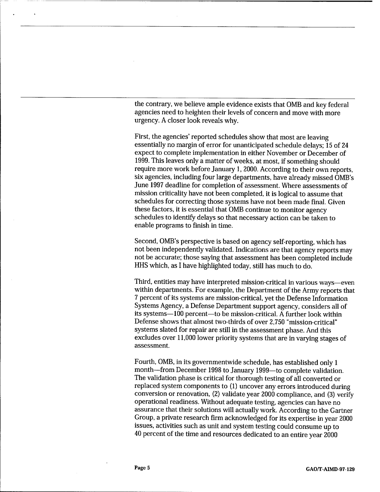the contrary, we believe ample evidence exists that OMB and key federal agencies need to heighten their levels of concern and move with more urgency. A closer look reveals why.

First, the agencies' reported schedules show that most are leaving essentially no margin of error for unanticipated schedule delays; 15 of 24 expect to complete implementation in either November or December of 1999. This leaves only a matter of weeks, at most, if something should require more work before January 1, 2000. According to their own reports, six agencies, including four large departments, have already missed OMB's June 1997 deadline for completion of assessment. Where assessments of mission criticality have not been completed, it is logical to assume that schedules for correcting those systems have not been made final. Given these factors, it is essential that OMB continue to monitor agency schedules to identify delays so that necessary action can be taken to enable programs to finish in time.

Second, OMB's perspective is based on agency self-reporting, which has not been independently validated. Indications are that agency reports may not be accurate; those saying that assessment has been completed include HHS which, as I have highlighted today, still has much to do.

Third, entities may have interpreted mission-critical in various ways—even within departments. For example, the Department of the Army reports that 7 percent of its systems are mission-critical, yet the Defense Information Systems Agency, a Defense Department support agency, considers all of its systems—100 percent—to be mission-critical. A further look within Defense shows that almost two-thirds of over 2,750 "mission-critical" systems slated for repair are still in the assessment phase. And this excludes over 11,000 lower priority systems that are in varying stages of assessment.

Fourth, OMB, in its governmentwide schedule, has established only <sup>1</sup> month—from December 1998 to January 1999—to complete validation. The validation phase is critical for thorough testing of all converted or replaced system components to (1) uncover any errors introduced during conversion or renovation, (2) validate year 2000 compliance, and (3) verify operational readiness. Without adequate testing, agencies can have no assurance that their solutions will actually work. According to the Gartner Group, a private research firm acknowledged for its expertise in year 2000 issues, activities such as unit and system testing could consume up to 40 percent of the time and resources dedicated to an entire year 2000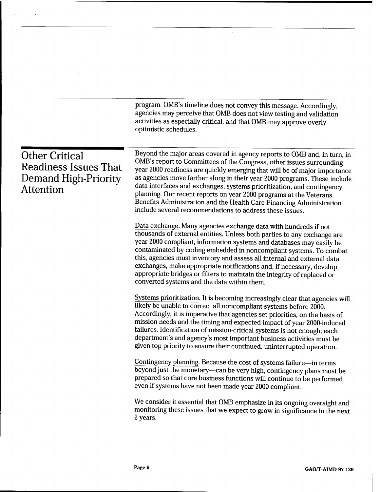program. OMB's timeline does not convey this message. Accordingly, agencies may perceive that OMB does not view testing and validation activities as especially critical, and that OMB may approve overly optimistic schedules.

 $\vec{r}$ 

| <b>Other Critical</b><br>Readiness Issues That<br><b>Demand High-Priority</b><br><b>Attention</b> | Beyond the major areas covered in agency reports to OMB and, in turn, in<br>OMB's report to Committees of the Congress, other issues surrounding<br>year 2000 readiness are quickly emerging that will be of major importance<br>as agencies move farther along in their year 2000 programs. These include<br>data interfaces and exchanges, systems prioritization, and contingency<br>planning. Our recent reports on year 2000 programs at the Veterans<br>Benefits Administration and the Health Care Financing Administration<br>include several recommendations to address these issues. |  |  |
|---------------------------------------------------------------------------------------------------|------------------------------------------------------------------------------------------------------------------------------------------------------------------------------------------------------------------------------------------------------------------------------------------------------------------------------------------------------------------------------------------------------------------------------------------------------------------------------------------------------------------------------------------------------------------------------------------------|--|--|
|                                                                                                   | Data exchange. Many agencies exchange data with hundreds if not<br>thousands of external entities. Unless both parties to any exchange are<br>year 2000 compliant, information systems and databases may easily be<br>contaminated by coding embedded in noncompliant systems. To combat<br>this, agencies must inventory and assess all internal and external data<br>exchanges, make appropriate notifications and, if necessary, develop<br>appropriate bridges or filters to maintain the integrity of replaced or<br>converted systems and the data within them.                          |  |  |
|                                                                                                   | Systems prioritization. It is becoming increasingly clear that agencies will<br>likely be unable to correct all noncompliant systems before 2000.<br>Accordingly, it is imperative that agencies set priorities, on the basis of<br>mission needs and the timing and expected impact of year 2000-induced<br>failures. Identification of mission-critical systems is not enough; each<br>department's and agency's most important business activities must be<br>given top priority to ensure their continued, uninterrupted operation.                                                        |  |  |
|                                                                                                   | Contingency planning. Because the cost of systems failure-in terms<br>beyond just the monetary-can be very high, contingency plans must be<br>prepared so that core business functions will continue to be performed<br>even if systems have not been made year 2000 compliant.                                                                                                                                                                                                                                                                                                                |  |  |
|                                                                                                   | We consider it essential that OMB emphasize in its ongoing oversight and<br>monitoring these issues that we expect to grow in significance in the next<br>2 years.                                                                                                                                                                                                                                                                                                                                                                                                                             |  |  |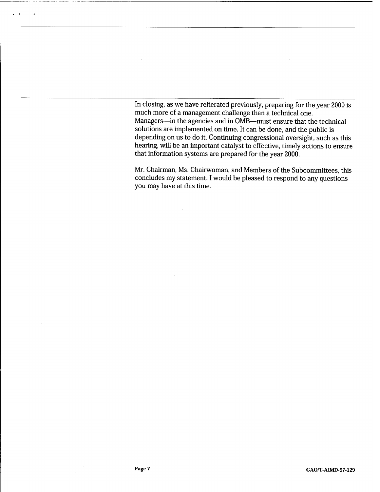In closing, as we have reiterated previously, preparing for the year 2000 is much more of a management challenge than a technical one. Managers—in the agencies and in OMB—must ensure that the technical solutions are implemented on time. It can be done, and the public is depending on us to do it. Continuing congressional oversight, such as this hearing, will be an important catalyst to effective, timely actions to ensure that information systems are prepared for the year 2000.

Mr. Chairman, Ms. Chairwoman, and Members of the Subcommittees, this concludes my statement. I would be pleased to respond to any questions you may have at this time.